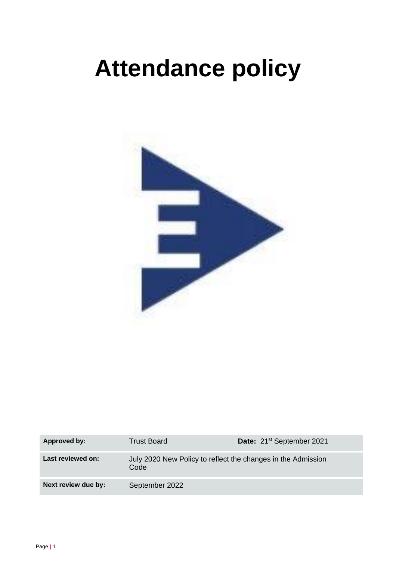# **Attendance policy**



| Approved by:        | Trust Board                                                          | Date: 21 <sup>st</sup> September 2021 |
|---------------------|----------------------------------------------------------------------|---------------------------------------|
| Last reviewed on:   | July 2020 New Policy to reflect the changes in the Admission<br>Code |                                       |
| Next review due by: | September 2022                                                       |                                       |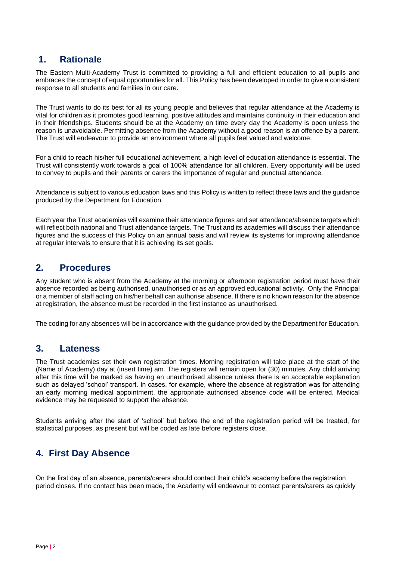## **1. Rationale**

The Eastern Multi-Academy Trust is committed to providing a full and efficient education to all pupils and embraces the concept of equal opportunities for all. This Policy has been developed in order to give a consistent response to all students and families in our care.

The Trust wants to do its best for all its young people and believes that regular attendance at the Academy is vital for children as it promotes good learning, positive attitudes and maintains continuity in their education and in their friendships. Students should be at the Academy on time every day the Academy is open unless the reason is unavoidable. Permitting absence from the Academy without a good reason is an offence by a parent. The Trust will endeavour to provide an environment where all pupils feel valued and welcome.

For a child to reach his/her full educational achievement, a high level of education attendance is essential. The Trust will consistently work towards a goal of 100% attendance for all children. Every opportunity will be used to convey to pupils and their parents or carers the importance of regular and punctual attendance.

Attendance is subject to various education laws and this Policy is written to reflect these laws and the guidance produced by the Department for Education.

Each year the Trust academies will examine their attendance figures and set attendance/absence targets which will reflect both national and Trust attendance targets. The Trust and its academies will discuss their attendance figures and the success of this Policy on an annual basis and will review its systems for improving attendance at regular intervals to ensure that it is achieving its set goals.

# **2. Procedures**

Any student who is absent from the Academy at the morning or afternoon registration period must have their absence recorded as being authorised, unauthorised or as an approved educational activity. Only the Principal or a member of staff acting on his/her behalf can authorise absence. If there is no known reason for the absence at registration, the absence must be recorded in the first instance as unauthorised.

The coding for any absences will be in accordance with the guidance provided by the Department for Education.

### **3. Lateness**

The Trust academies set their own registration times. Morning registration will take place at the start of the (Name of Academy) day at (insert time) am. The registers will remain open for (30) minutes. Any child arriving after this time will be marked as having an unauthorised absence unless there is an acceptable explanation such as delayed 'school' transport. In cases, for example, where the absence at registration was for attending an early morning medical appointment, the appropriate authorised absence code will be entered. Medical evidence may be requested to support the absence.

Students arriving after the start of 'school' but before the end of the registration period will be treated, for statistical purposes, as present but will be coded as late before registers close.

# **4. First Day Absence**

On the first day of an absence, parents/carers should contact their child's academy before the registration period closes. If no contact has been made, the Academy will endeavour to contact parents/carers as quickly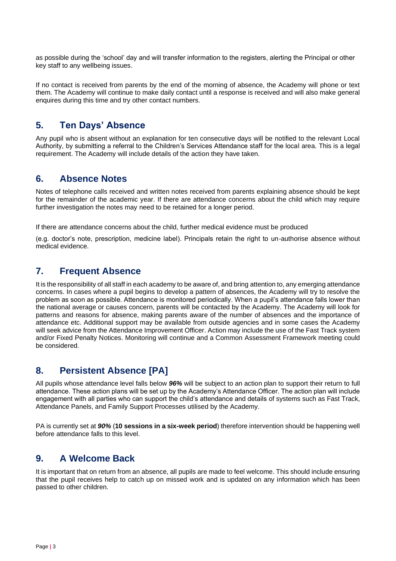as possible during the 'school' day and will transfer information to the registers, alerting the Principal or other key staff to any wellbeing issues.

If no contact is received from parents by the end of the morning of absence, the Academy will phone or text them. The Academy will continue to make daily contact until a response is received and will also make general enquires during this time and try other contact numbers.

# **5. Ten Days' Absence**

Any pupil who is absent without an explanation for ten consecutive days will be notified to the relevant Local Authority, by submitting a referral to the Children's Services Attendance staff for the local area. This is a legal requirement. The Academy will include details of the action they have taken.

### **6. Absence Notes**

Notes of telephone calls received and written notes received from parents explaining absence should be kept for the remainder of the academic year. If there are attendance concerns about the child which may require further investigation the notes may need to be retained for a longer period.

If there are attendance concerns about the child, further medical evidence must be produced

(e.g. doctor's note, prescription, medicine label). Principals retain the right to un-authorise absence without medical evidence.

## **7. Frequent Absence**

It is the responsibility of all staff in each academy to be aware of, and bring attention to, any emerging attendance concerns. In cases where a pupil begins to develop a pattern of absences, the Academy will try to resolve the problem as soon as possible. Attendance is monitored periodically. When a pupil's attendance falls lower than the national average or causes concern, parents will be contacted by the Academy. The Academy will look for patterns and reasons for absence, making parents aware of the number of absences and the importance of attendance etc. Additional support may be available from outside agencies and in some cases the Academy will seek advice from the Attendance Improvement Officer. Action may include the use of the Fast Track system and/or Fixed Penalty Notices. Monitoring will continue and a Common Assessment Framework meeting could be considered.

# **8. Persistent Absence [PA]**

All pupils whose attendance level falls below *96%* will be subject to an action plan to support their return to full attendance. These action plans will be set up by the Academy's Attendance Officer. The action plan will include engagement with all parties who can support the child's attendance and details of systems such as Fast Track, Attendance Panels, and Family Support Processes utilised by the Academy.

PA is currently set at *90%* (**10 sessions in a six-week period**) therefore intervention should be happening well before attendance falls to this level.

# **9. A Welcome Back**

It is important that on return from an absence, all pupils are made to feel welcome. This should include ensuring that the pupil receives help to catch up on missed work and is updated on any information which has been passed to other children.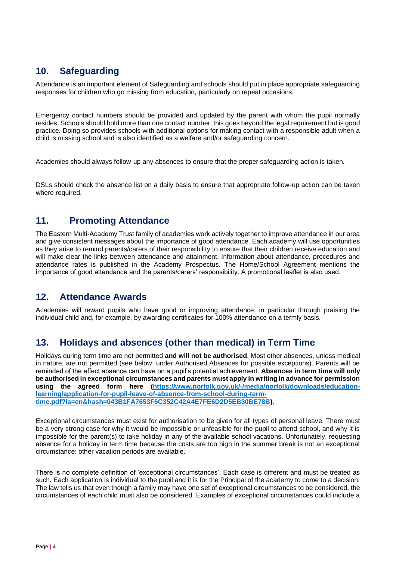# **10. Safeguarding**

Attendance is an important element of Safeguarding and schools should put in place appropriate safeguarding responses for children who go missing from education, particularly on repeat occasions.

Emergency contact numbers should be provided and updated by the parent with whom the pupil normally resides. Schools should hold more than one contact number; this goes beyond the legal requirement but is good practice. Doing so provides schools with additional options for making contact with a responsible adult when a child is missing school and is also identified as a welfare and/or safeguarding concern.

Academies should always follow-up any absences to ensure that the proper safeguarding action is taken.

DSLs should check the absence list on a daily basis to ensure that appropriate follow-up action can be taken where required.

# **11. Promoting Attendance**

The Eastern Multi-Academy Trust family of academies work actively together to improve attendance in our area and give consistent messages about the importance of good attendance. Each academy will use opportunities as they arise to remind parents/carers of their responsibility to ensure that their children receive education and will make clear the links between attendance and attainment. Information about attendance, procedures and attendance rates is published in the Academy Prospectus. The Home/School Agreement mentions the importance of good attendance and the parents/carers' responsibility. A promotional leaflet is also used.

# **12. Attendance Awards**

Academies will reward pupils who have good or improving attendance, in particular through praising the individual child and, for example, by awarding certificates for 100% attendance on a termly basis.

# **13. Holidays and absences (other than medical) in Term Time**

Holidays during term time are not permitted **and will not be authorised**. Most other absences, unless medical in nature, are not permitted (see below, under Authorised Absences for possible exceptions). Parents will be reminded of the effect absence can have on a pupil's potential achievement. **Absences in term time will only be authorised in exceptional circumstances and parents must apply in writing in advance for permission using the agreed form here [\(https://www.norfolk.gov.uk/-/media/norfolk/downloads/education](https://www.norfolk.gov.uk/-/media/norfolk/downloads/education-learning/application-for-pupil-leave-of-absence-from-school-during-term-time.pdf?la=en&hash=043B1FA7653F6C352C42A4E7FE6D2D5EB30BE78B)[learning/application-for-pupil-leave-of-absence-from-school-during-term](https://www.norfolk.gov.uk/-/media/norfolk/downloads/education-learning/application-for-pupil-leave-of-absence-from-school-during-term-time.pdf?la=en&hash=043B1FA7653F6C352C42A4E7FE6D2D5EB30BE78B)[time.pdf?la=en&hash=043B1FA7653F6C352C42A4E7FE6D2D5EB30BE78B\)](https://www.norfolk.gov.uk/-/media/norfolk/downloads/education-learning/application-for-pupil-leave-of-absence-from-school-during-term-time.pdf?la=en&hash=043B1FA7653F6C352C42A4E7FE6D2D5EB30BE78B)**.

Exceptional circumstances must exist for authorisation to be given for all types of personal leave. There must be a very strong case for why it would be impossible or unfeasible for the pupil to attend school, and why it is impossible for the parent(s) to take holiday in any of the available school vacations. Unfortunately, requesting absence for a holiday in term time because the costs are too high in the summer break is not an exceptional circumstance: other vacation periods are available.

There is no complete definition of 'exceptional circumstances'. Each case is different and must be treated as such. Each application is individual to the pupil and it is for the Principal of the academy to come to a decision. The law tells us that even though a family may have one set of exceptional circumstances to be considered, the circumstances of each child must also be considered. Examples of exceptional circumstances could include a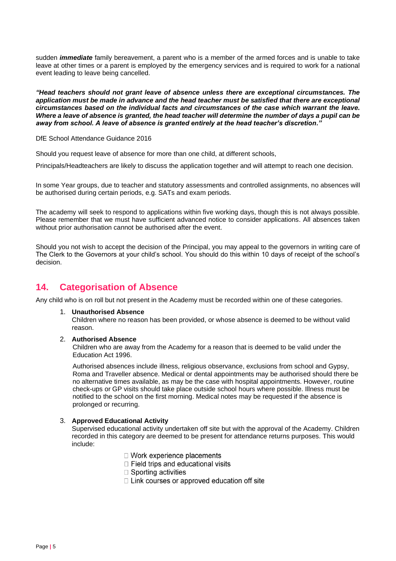sudden *immediate* family bereavement, a parent who is a member of the armed forces and is unable to take leave at other times or a parent is employed by the emergency services and is required to work for a national event leading to leave being cancelled.

*"Head teachers should not grant leave of absence unless there are exceptional circumstances. The application must be made in advance and the head teacher must be satisfied that there are exceptional circumstances based on the individual facts and circumstances of the case which warrant the leave. Where a leave of absence is granted, the head teacher will determine the number of days a pupil can be away from school. A leave of absence is granted entirely at the head teacher's discretion."*

DfE School Attendance Guidance 2016

Should you request leave of absence for more than one child, at different schools,

Principals/Headteachers are likely to discuss the application together and will attempt to reach one decision.

In some Year groups, due to teacher and statutory assessments and controlled assignments, no absences will be authorised during certain periods, e.g. SATs and exam periods.

The academy will seek to respond to applications within five working days, though this is not always possible. Please remember that we must have sufficient advanced notice to consider applications. All absences taken without prior authorisation cannot be authorised after the event.

Should you not wish to accept the decision of the Principal, you may appeal to the governors in writing care of The Clerk to the Governors at your child's school. You should do this within 10 days of receipt of the school's decision.

# **14. Categorisation of Absence**

Any child who is on roll but not present in the Academy must be recorded within one of these categories.

1. **Unauthorised Absence** 

Children where no reason has been provided, or whose absence is deemed to be without valid reason.

2. **Authorised Absence** 

Children who are away from the Academy for a reason that is deemed to be valid under the Education Act 1996.

Authorised absences include illness, religious observance, exclusions from school and Gypsy, Roma and Traveller absence. Medical or dental appointments may be authorised should there be no alternative times available, as may be the case with hospital appointments. However, routine check-ups or GP visits should take place outside school hours where possible. Illness must be notified to the school on the first morning. Medical notes may be requested if the absence is prolonged or recurring.

#### 3. **Approved Educational Activity**

Supervised educational activity undertaken off site but with the approval of the Academy. Children recorded in this category are deemed to be present for attendance returns purposes. This would include:

- $\Box$  Work experience placements
- $\Box$  Field trips and educational visits
- $\square$  Sporting activities
- $\Box$  Link courses or approved education off site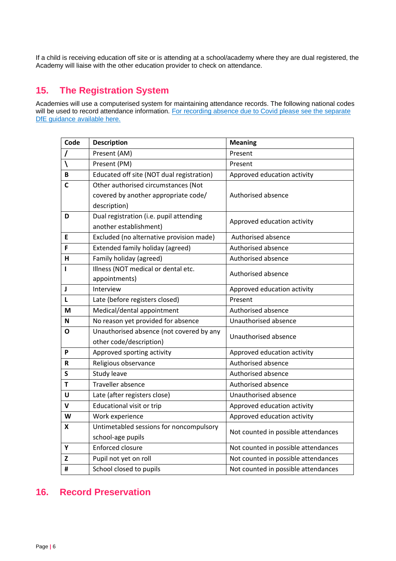If a child is receiving education off site or is attending at a school/academy where they are dual registered, the Academy will liaise with the other education provider to check on attendance.

# **15. The Registration System**

Academies will use a computerised system for maintaining attendance records. The following national codes will be used to record attendance information. For recording absence due to Covid please see the separate [DfE guidance available here.](https://assets.publishing.service.gov.uk/government/uploads/system/uploads/attachment_data/file/1012256/Recording_non-attendance_related_to_coronavirus__COVID19__sub-codes.pdf)

| Code                     | <b>Description</b>                        | <b>Meaning</b>                      |  |
|--------------------------|-------------------------------------------|-------------------------------------|--|
| $\prime$                 | Present (AM)                              | Present                             |  |
| $\overline{\mathcal{L}}$ | Present (PM)                              | Present                             |  |
| B                        | Educated off site (NOT dual registration) | Approved education activity         |  |
| С                        | Other authorised circumstances (Not       |                                     |  |
|                          | covered by another appropriate code/      | Authorised absence                  |  |
|                          | description)                              |                                     |  |
| D                        | Dual registration (i.e. pupil attending   | Approved education activity         |  |
|                          | another establishment)                    |                                     |  |
| E                        | Excluded (no alternative provision made)  | Authorised absence                  |  |
| F                        | Extended family holiday (agreed)          | Authorised absence                  |  |
| H                        | Family holiday (agreed)                   | Authorised absence                  |  |
| ı                        | Illness (NOT medical or dental etc.       | Authorised absence                  |  |
|                          | appointments)                             |                                     |  |
| J                        | Interview                                 | Approved education activity         |  |
| $\mathsf{L}$             | Late (before registers closed)            | Present                             |  |
| М                        | Medical/dental appointment                | Authorised absence                  |  |
| N                        | No reason yet provided for absence        | Unauthorised absence                |  |
| Ο                        | Unauthorised absence (not covered by any  | Unauthorised absence                |  |
|                          | other code/description)                   |                                     |  |
| P                        | Approved sporting activity                | Approved education activity         |  |
| R                        | Religious observance                      | Authorised absence                  |  |
| S                        | Study leave                               | Authorised absence                  |  |
| T                        | Traveller absence                         | Authorised absence                  |  |
| U                        | Late (after registers close)              | Unauthorised absence                |  |
| $\mathbf v$              | Educational visit or trip                 | Approved education activity         |  |
| W                        | Work experience                           | Approved education activity         |  |
| X                        | Untimetabled sessions for noncompulsory   | Not counted in possible attendances |  |
|                          | school-age pupils                         |                                     |  |
| Y                        | <b>Enforced closure</b>                   | Not counted in possible attendances |  |
| z                        | Pupil not yet on roll                     | Not counted in possible attendances |  |
| #                        | School closed to pupils                   | Not counted in possible attendances |  |

# **16. Record Preservation**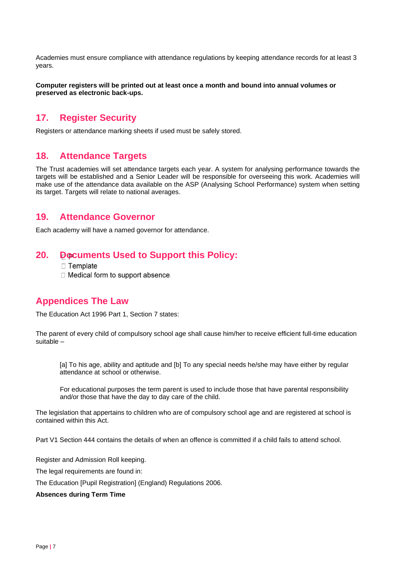Academies must ensure compliance with attendance regulations by keeping attendance records for at least 3 years.

**Computer registers will be printed out at least once a month and bound into annual volumes or preserved as electronic back-ups.**

### **17. Register Security**

Registers or attendance marking sheets if used must be safely stored.

#### **18. Attendance Targets**

The Trust academies will set attendance targets each year. A system for analysing performance towards the targets will be established and a Senior Leader will be responsible for overseeing this work. Academies will make use of the attendance data available on the ASP (Analysing School Performance) system when setting its target. Targets will relate to national averages.

#### **19. Attendance Governor**

Each academy will have a named governor for attendance.

#### **20. Documents Used to Support this Policy:**

 $\Box$  Template

□ Medical form to support absence.

### **Appendices The Law**

The Education Act 1996 Part 1, Section 7 states:

The parent of every child of compulsory school age shall cause him/her to receive efficient full-time education suitable –

[a] To his age, ability and aptitude and [b] To any special needs he/she may have either by regular attendance at school or otherwise.

For educational purposes the term parent is used to include those that have parental responsibility and/or those that have the day to day care of the child.

The legislation that appertains to children who are of compulsory school age and are registered at school is contained within this Act.

Part V1 Section 444 contains the details of when an offence is committed if a child fails to attend school.

Register and Admission Roll keeping.

The legal requirements are found in:

The Education [Pupil Registration] (England) Regulations 2006.

**Absences during Term Time**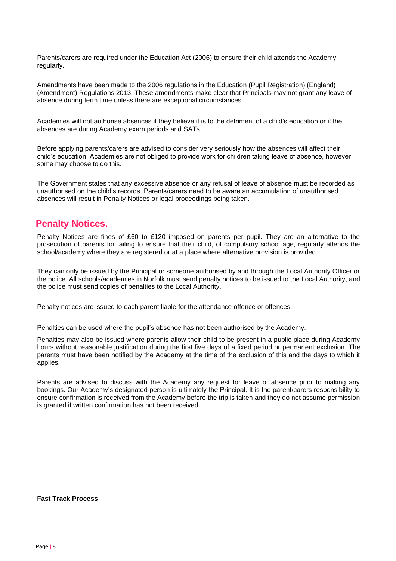Parents/carers are required under the Education Act (2006) to ensure their child attends the Academy regularly.

Amendments have been made to the 2006 regulations in the Education (Pupil Registration) (England) (Amendment) Regulations 2013. These amendments make clear that Principals may not grant any leave of absence during term time unless there are exceptional circumstances.

Academies will not authorise absences if they believe it is to the detriment of a child's education or if the absences are during Academy exam periods and SATs.

Before applying parents/carers are advised to consider very seriously how the absences will affect their child's education. Academies are not obliged to provide work for children taking leave of absence, however some may choose to do this.

The Government states that any excessive absence or any refusal of leave of absence must be recorded as unauthorised on the child's records. Parents/carers need to be aware an accumulation of unauthorised absences will result in Penalty Notices or legal proceedings being taken.

## **Penalty Notices.**

Penalty Notices are fines of £60 to £120 imposed on parents per pupil. They are an alternative to the prosecution of parents for failing to ensure that their child, of compulsory school age, regularly attends the school/academy where they are registered or at a place where alternative provision is provided.

They can only be issued by the Principal or someone authorised by and through the Local Authority Officer or the police. All schools/academies in Norfolk must send penalty notices to be issued to the Local Authority, and the police must send copies of penalties to the Local Authority.

Penalty notices are issued to each parent liable for the attendance offence or offences.

Penalties can be used where the pupil's absence has not been authorised by the Academy.

Penalties may also be issued where parents allow their child to be present in a public place during Academy hours without reasonable justification during the first five days of a fixed period or permanent exclusion. The parents must have been notified by the Academy at the time of the exclusion of this and the days to which it applies.

Parents are advised to discuss with the Academy any request for leave of absence prior to making any bookings. Our Academy's designated person is ultimately the Principal. It is the parent/carers responsibility to ensure confirmation is received from the Academy before the trip is taken and they do not assume permission is granted if written confirmation has not been received.

#### **Fast Track Process**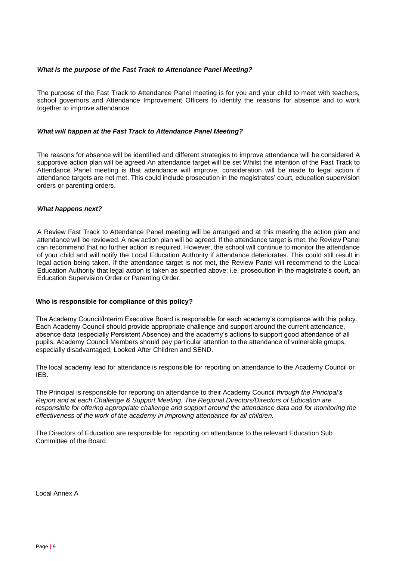#### *What is the purpose of the Fast Track to Attendance Panel Meeting?*

The purpose of the Fast Track to Attendance Panel meeting is for you and your child to meet with teachers, school governors and Attendance Improvement Officers to identify the reasons for absence and to work together to improve attendance.

#### *What will happen at the Fast Track to Attendance Panel Meeting?*

The reasons for absence will be identified and different strategies to improve attendance will be considered A supportive action plan will be agreed An attendance target will be set Whilst the intention of the Fast Track to Attendance Panel meeting is that attendance will improve, consideration will be made to legal action if attendance targets are not met. This could include prosecution in the magistrates' court, education supervision orders or parenting orders.

#### *What happens next?*

A Review Fast Track to Attendance Panel meeting will be arranged and at this meeting the action plan and attendance will be reviewed. A new action plan will be agreed. If the attendance target is met, the Review Panel can recommend that no further action is required. However, the school will continue to monitor the attendance of your child and will notify the Local Education Authority if attendance deteriorates. This could still result in legal action being taken. If the attendance target is not met, the Review Panel will recommend to the Local Education Authority that legal action is taken as specified above: i.e. prosecution in the magistrate's court, an Education Supervision Order or Parenting Order.

#### **Who is responsible for compliance of this policy?**

The Academy Council/Interim Executive Board is responsible for each academy's compliance with this policy. Each Academy Council should provide appropriate challenge and support around the current attendance, absence data (especially Persistent Absence) and the academy's actions to support good attendance of all pupils. Academy Council Members should pay particular attention to the attendance of vulnerable groups, especially disadvantaged, Looked After Children and SEND.

The local academy lead for attendance is responsible for reporting on attendance to the Academy Council or IEB.

The Principal is responsible for reporting on attendance to their Academy Council *through the Principal's Report and at each Challenge & Support Meeting. The Regional Directors/Directors of Education are responsible for offering appropriate challenge and support around the attendance data and for monitoring the effectiveness of the work of the academy in improving attendance for all children.*

The Directors of Education are responsible for reporting on attendance to the relevant Education Sub Committee of the Board.

Local Annex A